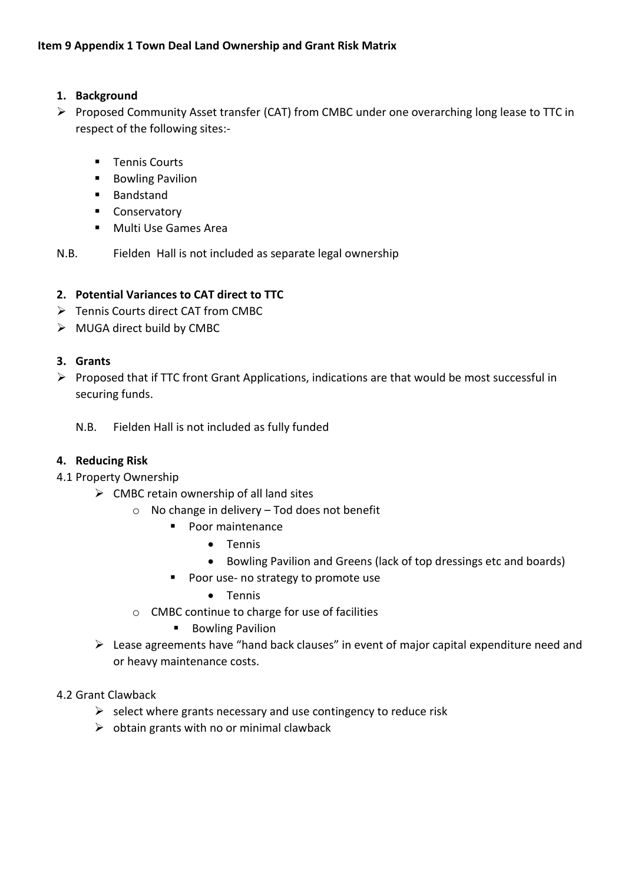#### **1. Background**

- ➢ Proposed Community Asset transfer (CAT) from CMBC under one overarching long lease to TTC in respect of the following sites:-
	- Tennis Courts
	- Bowling Pavilion
	- Bandstand
	- Conservatory
	- Multi Use Games Area

N.B. Fielden Hall is not included as separate legal ownership

#### **2. Potential Variances to CAT direct to TTC**

- ➢ Tennis Courts direct CAT from CMBC
- ➢ MUGA direct build by CMBC

#### **3. Grants**

➢ Proposed that if TTC front Grant Applications, indications are that would be most successful in securing funds.

N.B. Fielden Hall is not included as fully funded

#### **4. Reducing Risk**

4.1 Property Ownership

- $\triangleright$  CMBC retain ownership of all land sites
	- o No change in delivery Tod does not benefit
		- Poor maintenance
			- Tennis
			- Bowling Pavilion and Greens (lack of top dressings etc and boards)
		- Poor use- no strategy to promote use
			- Tennis
	- o CMBC continue to charge for use of facilities
		- Bowling Pavilion
- ➢ Lease agreements have "hand back clauses" in event of major capital expenditure need and or heavy maintenance costs.

#### 4.2 Grant Clawback

- $\triangleright$  select where grants necessary and use contingency to reduce risk
- $\triangleright$  obtain grants with no or minimal clawback